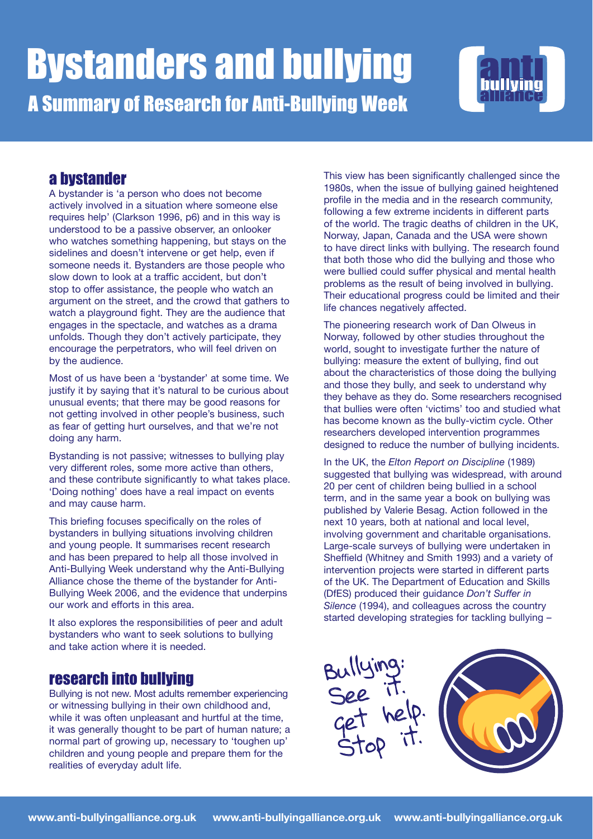

## a bystander

A bystander is 'a person who does not become actively involved in a situation where someone else requires help' (Clarkson 1996, p6) and in this way is understood to be a passive observer, an onlooker who watches something happening, but stays on the sidelines and doesn't intervene or get help, even if someone needs it. Bystanders are those people who slow down to look at a traffic accident, but don't stop to offer assistance, the people who watch an argument on the street, and the crowd that gathers to watch a playground fight. They are the audience that engages in the spectacle, and watches as a drama unfolds. Though they don't actively participate, they encourage the perpetrators, who will feel driven on by the audience.

Most of us have been a 'bystander' at some time. We justify it by saying that it's natural to be curious about unusual events; that there may be good reasons for not getting involved in other people's business, such as fear of getting hurt ourselves, and that we're not doing any harm.

Bystanding is not passive; witnesses to bullying play very different roles, some more active than others, and these contribute significantly to what takes place. 'Doing nothing' does have a real impact on events and may cause harm.

This briefing focuses specifically on the roles of bystanders in bullying situations involving children and young people. It summarises recent research and has been prepared to help all those involved in Anti-Bullying Week understand why the Anti-Bullying Alliance chose the theme of the bystander for Anti-Bullying Week 2006, and the evidence that underpins our work and efforts in this area.

It also explores the responsibilities of peer and adult bystanders who want to seek solutions to bullying and take action where it is needed.

## research into bullying

Bullying is not new. Most adults remember experiencing or witnessing bullying in their own childhood and, while it was often unpleasant and hurtful at the time, it was generally thought to be part of human nature; a normal part of growing up, necessary to 'toughen up' children and young people and prepare them for the realities of everyday adult life.

This view has been significantly challenged since the 1980s, when the issue of bullying gained heightened profile in the media and in the research community, following a few extreme incidents in different parts of the world. The tragic deaths of children in the UK, Norway, Japan, Canada and the USA were shown to have direct links with bullying. The research found that both those who did the bullying and those who were bullied could suffer physical and mental health problems as the result of being involved in bullying. Their educational progress could be limited and their life chances negatively affected.

The pioneering research work of Dan Olweus in Norway, followed by other studies throughout the world, sought to investigate further the nature of bullying: measure the extent of bullying, find out about the characteristics of those doing the bullying and those they bully, and seek to understand why they behave as they do. Some researchers recognised that bullies were often 'victims' too and studied what has become known as the bully-victim cycle. Other researchers developed intervention programmes designed to reduce the number of bullying incidents.

In the UK, the *Elton Report on Discipline* (1989) suggested that bullying was widespread, with around 20 per cent of children being bullied in a school term, and in the same year a book on bullying was published by Valerie Besag. Action followed in the next 10 years, both at national and local level, involving government and charitable organisations. Large-scale surveys of bullying were undertaken in Sheffield (Whitney and Smith 1993) and a variety of intervention projects were started in different parts of the UK. The Department of Education and Skills (DfES) produced their guidance *Don't Suffer in Silence* (1994), and colleagues across the country started developing strategies for tackling bullying –

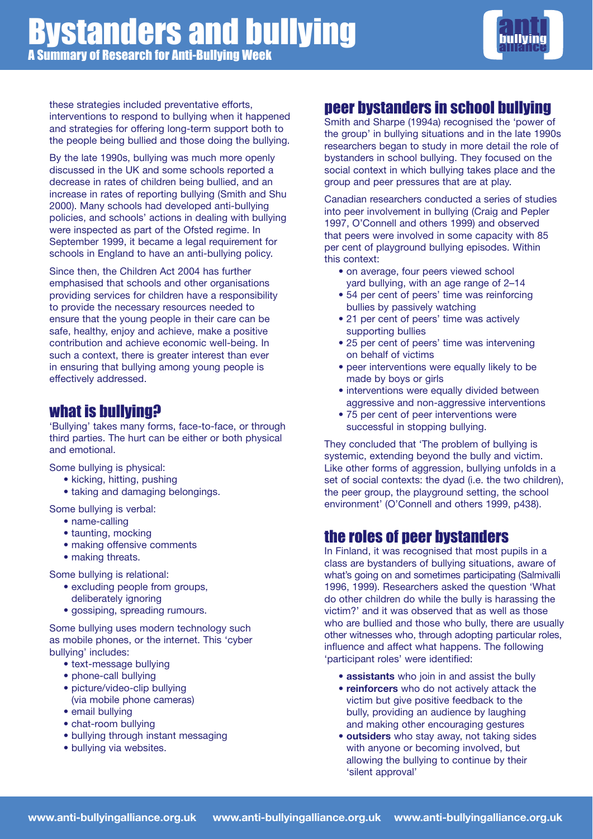

these strategies included preventative efforts, interventions to respond to bullying when it happened and strategies for offering long-term support both to the people being bullied and those doing the bullying.

By the late 1990s, bullying was much more openly discussed in the UK and some schools reported a decrease in rates of children being bullied, and an increase in rates of reporting bullying (Smith and Shu 2000). Many schools had developed anti-bullying policies, and schools' actions in dealing with bullying were inspected as part of the Ofsted regime. In September 1999, it became a legal requirement for schools in England to have an anti-bullying policy.

Since then, the Children Act 2004 has further emphasised that schools and other organisations providing services for children have a responsibility to provide the necessary resources needed to ensure that the young people in their care can be safe, healthy, enjoy and achieve, make a positive contribution and achieve economic well-being. In such a context, there is greater interest than ever in ensuring that bullying among young people is effectively addressed.

## what is bullying?

'Bullying' takes many forms, face-to-face, or through third parties. The hurt can be either or both physical and emotional.

Some bullying is physical:

- kicking, hitting, pushing
- taking and damaging belongings.

Some bullying is verbal:

- name-calling
- taunting, mocking
- making offensive comments
- making threats.

Some bullying is relational:

- excluding people from groups, deliberately ignoring
- gossiping, spreading rumours.

Some bullying uses modern technology such as mobile phones, or the internet. This 'cyber bullying' includes:

- text-message bullying
- phone-call bullying
- picture/video-clip bullying (via mobile phone cameras)
- email bullying
- chat-room bullying
- bullying through instant messaging
- bullying via websites.

## peer bystanders in school bullying

Smith and Sharpe (1994a) recognised the 'power of the group' in bullying situations and in the late 1990s researchers began to study in more detail the role of bystanders in school bullying. They focused on the social context in which bullying takes place and the group and peer pressures that are at play.

Canadian researchers conducted a series of studies into peer involvement in bullying (Craig and Pepler 1997, O'Connell and others 1999) and observed that peers were involved in some capacity with 85 per cent of playground bullying episodes. Within this context:

- on average, four peers viewed school yard bullying, with an age range of 2–14
- 54 per cent of peers' time was reinforcing bullies by passively watching
- 21 per cent of peers' time was actively supporting bullies
- 25 per cent of peers' time was intervening on behalf of victims
- peer interventions were equally likely to be made by boys or girls
- interventions were equally divided between aggressive and non-aggressive interventions
- 75 per cent of peer interventions were successful in stopping bullying.

They concluded that 'The problem of bullying is systemic, extending beyond the bully and victim. Like other forms of aggression, bullying unfolds in a set of social contexts: the dyad (i.e. the two children), the peer group, the playground setting, the school environment' (O'Connell and others 1999, p438).

## the roles of peer bystanders

In Finland, it was recognised that most pupils in a class are bystanders of bullying situations, aware of what's going on and sometimes participating (Salmivalli 1996, 1999). Researchers asked the question 'What do other children do while the bully is harassing the victim?' and it was observed that as well as those who are bullied and those who bully, there are usually other witnesses who, through adopting particular roles, influence and affect what happens. The following 'participant roles' were identified:

- **assistants** who join in and assist the bully
- **reinforcers** who do not actively attack the victim but give positive feedback to the bully, providing an audience by laughing and making other encouraging gestures
- **outsiders** who stay away, not taking sides with anyone or becoming involved, but allowing the bullying to continue by their 'silent approval'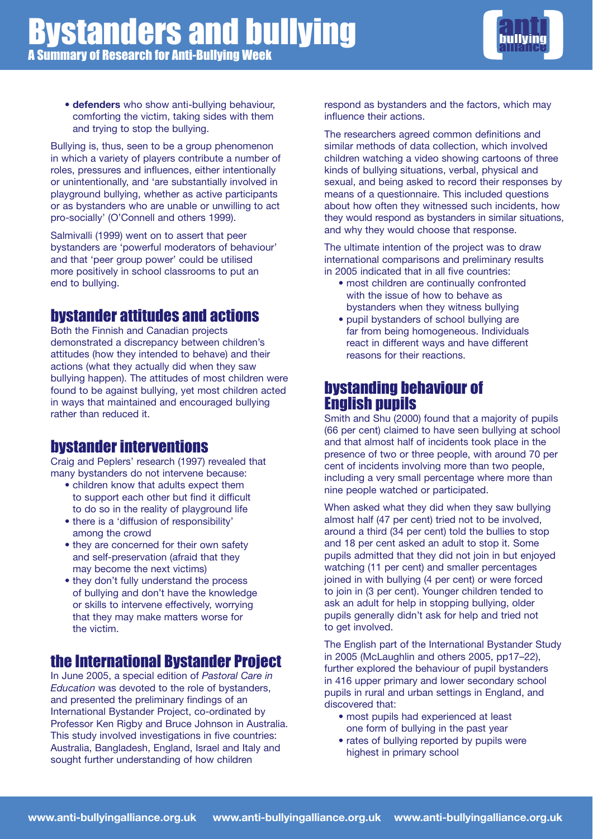

• **defenders** who show anti-bullying behaviour, comforting the victim, taking sides with them and trying to stop the bullying.

Bullying is, thus, seen to be a group phenomenon in which a variety of players contribute a number of roles, pressures and influences, either intentionally or unintentionally, and 'are substantially involved in playground bullying, whether as active participants or as bystanders who are unable or unwilling to act pro-socially' (O'Connell and others 1999).

Salmivalli (1999) went on to assert that peer bystanders are 'powerful moderators of behaviour' and that 'peer group power' could be utilised more positively in school classrooms to put an end to bullying.

## bystander attitudes and actions

Both the Finnish and Canadian projects demonstrated a discrepancy between children's attitudes (how they intended to behave) and their actions (what they actually did when they saw bullying happen). The attitudes of most children were found to be against bullying, yet most children acted in ways that maintained and encouraged bullying rather than reduced it.

## bystander interventions

Craig and Peplers' research (1997) revealed that many bystanders do not intervene because:

- children know that adults expect them to support each other but find it difficult to do so in the reality of playground life
- there is a 'diffusion of responsibility' among the crowd
- they are concerned for their own safety and self-preservation (afraid that they may become the next victims)
- they don't fully understand the process of bullying and don't have the knowledge or skills to intervene effectively, worrying that they may make matters worse for the victim.

## the International Bystander Project

In June 2005, a special edition of *Pastoral Care in Education* was devoted to the role of bystanders, and presented the preliminary findings of an International Bystander Project, co-ordinated by Professor Ken Rigby and Bruce Johnson in Australia. This study involved investigations in five countries: Australia, Bangladesh, England, Israel and Italy and sought further understanding of how children

respond as bystanders and the factors, which may influence their actions.

The researchers agreed common definitions and similar methods of data collection, which involved children watching a video showing cartoons of three kinds of bullying situations, verbal, physical and sexual, and being asked to record their responses by means of a questionnaire. This included questions about how often they witnessed such incidents, how they would respond as bystanders in similar situations, and why they would choose that response.

The ultimate intention of the project was to draw international comparisons and preliminary results in 2005 indicated that in all five countries:

- most children are continually confronted with the issue of how to behave as bystanders when they witness bullying
- pupil bystanders of school bullying are far from being homogeneous. Individuals react in different ways and have different reasons for their reactions.

## bystanding behaviour of English pupils

Smith and Shu (2000) found that a majority of pupils (66 per cent) claimed to have seen bullying at school and that almost half of incidents took place in the presence of two or three people, with around 70 per cent of incidents involving more than two people, including a very small percentage where more than nine people watched or participated.

When asked what they did when they saw bullying almost half (47 per cent) tried not to be involved, around a third (34 per cent) told the bullies to stop and 18 per cent asked an adult to stop it. Some pupils admitted that they did not join in but enjoyed watching (11 per cent) and smaller percentages joined in with bullying (4 per cent) or were forced to join in (3 per cent). Younger children tended to ask an adult for help in stopping bullying, older pupils generally didn't ask for help and tried not to get involved.

The English part of the International Bystander Study in 2005 (McLaughlin and others 2005, pp17–22), further explored the behaviour of pupil bystanders in 416 upper primary and lower secondary school pupils in rural and urban settings in England, and discovered that:

- most pupils had experienced at least one form of bullying in the past year
- rates of bullying reported by pupils were highest in primary school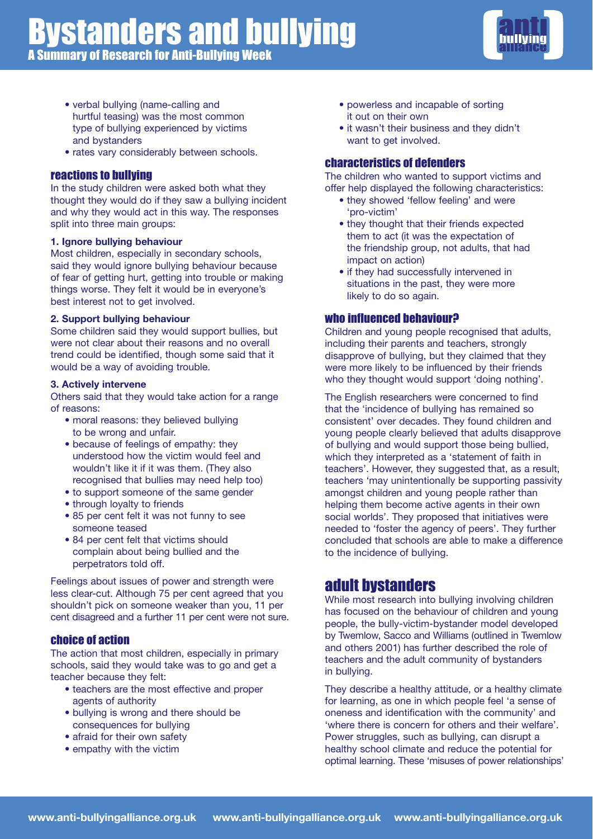

- verbal bullying (name-calling and hurtful teasing) was the most common type of bullying experienced by victims and bystanders
- rates vary considerably between schools.

#### reactions to bullying

In the study children were asked both what they thought they would do if they saw a bullying incident and why they would act in this way. The responses split into three main groups:

#### **1. Ignore bullying behaviour**

Most children, especially in secondary schools, said they would ignore bullying behaviour because of fear of getting hurt, getting into trouble or making things worse. They felt it would be in everyone's best interest not to get involved.

#### **2. Support bullying behaviour**

Some children said they would support bullies, but were not clear about their reasons and no overall trend could be identified, though some said that it would be a way of avoiding trouble.

#### **3. Actively intervene**

Others said that they would take action for a range of reasons:

- moral reasons: they believed bullying to be wrong and unfair.
- because of feelings of empathy: they understood how the victim would feel and wouldn't like it if it was them. (They also recognised that bullies may need help too)
- to support someone of the same gender
- through lovalty to friends
- 85 per cent felt it was not funny to see someone teased
- 84 per cent felt that victims should complain about being bullied and the perpetrators told off.

Feelings about issues of power and strength were less clear-cut. Although 75 per cent agreed that you shouldn't pick on someone weaker than you, 11 per cent disagreed and a further 11 per cent were not sure.

#### choice of action

The action that most children, especially in primary schools, said they would take was to go and get a teacher because they felt:

- teachers are the most effective and proper agents of authority
- bullying is wrong and there should be consequences for bullying
- afraid for their own safety
- empathy with the victim
- powerless and incapable of sorting it out on their own
- it wasn't their business and they didn't want to get involved.

#### characteristics of defenders

The children who wanted to support victims and offer help displayed the following characteristics:

- they showed 'fellow feeling' and were 'pro-victim'
- they thought that their friends expected them to act (it was the expectation of the friendship group, not adults, that had impact on action)
- if they had successfully intervened in situations in the past, they were more likely to do so again.

#### who influenced behaviour?

Children and young people recognised that adults, including their parents and teachers, strongly disapprove of bullying, but they claimed that they were more likely to be influenced by their friends who they thought would support 'doing nothing'.

The English researchers were concerned to find that the 'incidence of bullying has remained so consistent' over decades. They found children and young people clearly believed that adults disapprove of bullying and would support those being bullied, which they interpreted as a 'statement of faith in teachers'. However, they suggested that, as a result, teachers 'may unintentionally be supporting passivity amongst children and young people rather than helping them become active agents in their own social worlds'. They proposed that initiatives were needed to 'foster the agency of peers'. They further concluded that schools are able to make a difference to the incidence of bullying.

## adult bystanders

While most research into bullying involving children has focused on the behaviour of children and young people, the bully-victim-bystander model developed by Twemlow, Sacco and Williams (outlined in Twemlow and others 2001) has further described the role of teachers and the adult community of bystanders in bullying.

They describe a healthy attitude, or a healthy climate for learning, as one in which people feel 'a sense of oneness and identification with the community' and 'where there is concern for others and their welfare'. Power struggles, such as bullying, can disrupt a healthy school climate and reduce the potential for optimal learning. These 'misuses of power relationships'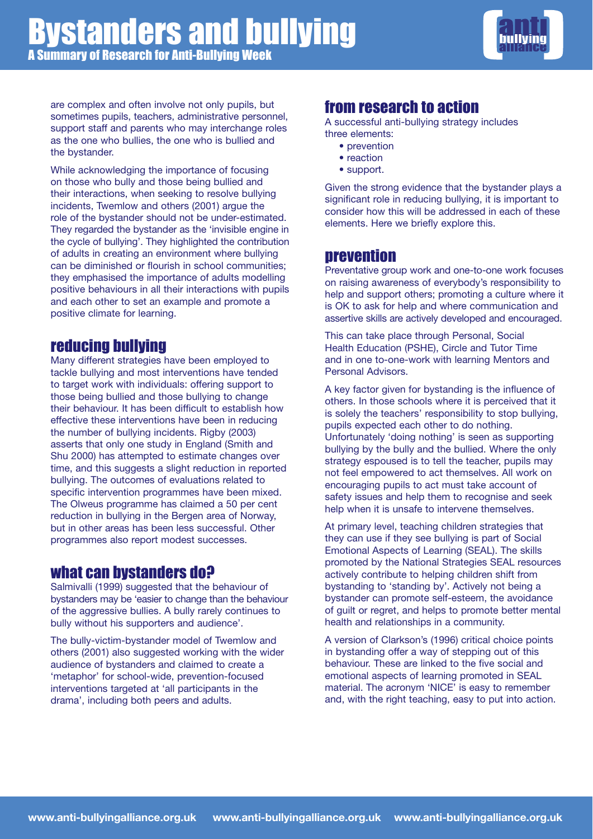

are complex and often involve not only pupils, but sometimes pupils, teachers, administrative personnel, support staff and parents who may interchange roles as the one who bullies, the one who is bullied and the bystander.

While acknowledging the importance of focusing on those who bully and those being bullied and their interactions, when seeking to resolve bullying incidents, Twemlow and others (2001) argue the role of the bystander should not be under-estimated. They regarded the bystander as the 'invisible engine in the cycle of bullying'. They highlighted the contribution of adults in creating an environment where bullying can be diminished or flourish in school communities; they emphasised the importance of adults modelling positive behaviours in all their interactions with pupils and each other to set an example and promote a positive climate for learning.

## reducing bullying

Many different strategies have been employed to tackle bullying and most interventions have tended to target work with individuals: offering support to those being bullied and those bullying to change their behaviour. It has been difficult to establish how effective these interventions have been in reducing the number of bullying incidents. Rigby (2003) asserts that only one study in England (Smith and Shu 2000) has attempted to estimate changes over time, and this suggests a slight reduction in reported bullying. The outcomes of evaluations related to specific intervention programmes have been mixed. The Olweus programme has claimed a 50 per cent reduction in bullying in the Bergen area of Norway, but in other areas has been less successful. Other programmes also report modest successes.

## what can bystanders do?

Salmivalli (1999) suggested that the behaviour of bystanders may be 'easier to change than the behaviour of the aggressive bullies. A bully rarely continues to bully without his supporters and audience'.

The bully-victim-bystander model of Twemlow and others (2001) also suggested working with the wider audience of bystanders and claimed to create a 'metaphor' for school-wide, prevention-focused interventions targeted at 'all participants in the drama', including both peers and adults.

## from research to action

A successful anti-bullying strategy includes three elements:

- prevention
- reaction
- support.

Given the strong evidence that the bystander plays a significant role in reducing bullying, it is important to consider how this will be addressed in each of these elements. Here we briefly explore this.

## prevention

Preventative group work and one-to-one work focuses on raising awareness of everybody's responsibility to help and support others; promoting a culture where it is OK to ask for help and where communication and assertive skills are actively developed and encouraged.

This can take place through Personal, Social Health Education (PSHE), Circle and Tutor Time and in one to-one-work with learning Mentors and Personal Advisors.

A key factor given for bystanding is the influence of others. In those schools where it is perceived that it is solely the teachers' responsibility to stop bullying, pupils expected each other to do nothing. Unfortunately 'doing nothing' is seen as supporting bullying by the bully and the bullied. Where the only strategy espoused is to tell the teacher, pupils may not feel empowered to act themselves. All work on encouraging pupils to act must take account of safety issues and help them to recognise and seek help when it is unsafe to intervene themselves.

At primary level, teaching children strategies that they can use if they see bullying is part of Social Emotional Aspects of Learning (SEAL). The skills promoted by the National Strategies SEAL resources actively contribute to helping children shift from bystanding to 'standing by'. Actively not being a bystander can promote self-esteem, the avoidance of guilt or regret, and helps to promote better mental health and relationships in a community.

A version of Clarkson's (1996) critical choice points in bystanding offer a way of stepping out of this behaviour. These are linked to the five social and emotional aspects of learning promoted in SEAL material. The acronym 'NICE' is easy to remember and, with the right teaching, easy to put into action.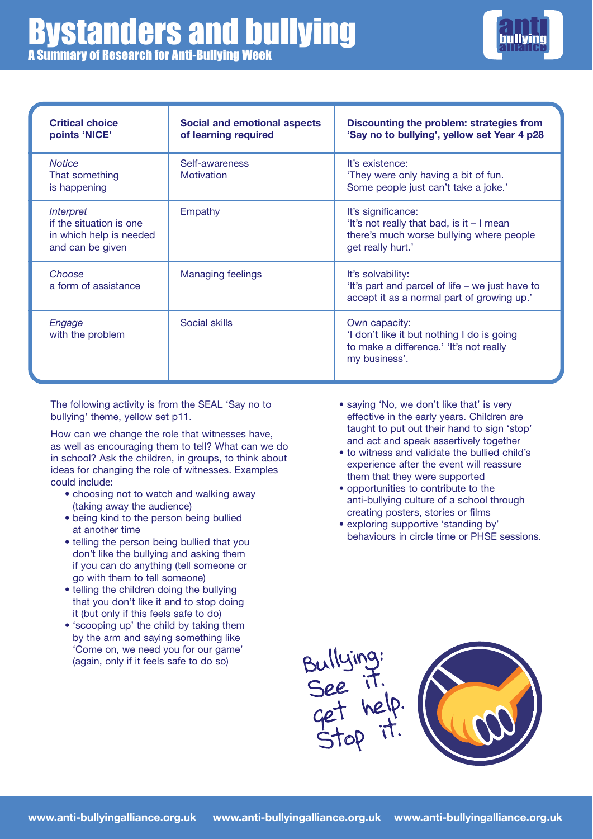

| <b>Critical choice</b><br>points 'NICE'                                                    | <b>Social and emotional aspects</b><br>of learning required | Discounting the problem: strategies from<br>'Say no to bullying', yellow set Year 4 p28                                          |
|--------------------------------------------------------------------------------------------|-------------------------------------------------------------|----------------------------------------------------------------------------------------------------------------------------------|
| <b>Notice</b><br>That something<br>is happening                                            | Self-awareness<br>Motivation                                | It's existence:<br>'They were only having a bit of fun.<br>Some people just can't take a joke.'                                  |
| <b>Interpret</b><br>if the situation is one<br>in which help is needed<br>and can be given | Empathy                                                     | It's significance:<br>'It's not really that bad, is it - I mean<br>there's much worse bullying where people<br>get really hurt.' |
| Choose<br>a form of assistance                                                             | Managing feelings                                           | It's solvability:<br>'It's part and parcel of life – we just have to<br>accept it as a normal part of growing up.'               |
| Engage<br>with the problem                                                                 | Social skills                                               | Own capacity:<br>'I don't like it but nothing I do is going<br>to make a difference.' 'It's not really<br>my business'.          |

The following activity is from the SEAL 'Say no to bullying' theme, yellow set p11.

How can we change the role that witnesses have, as well as encouraging them to tell? What can we do in school? Ask the children, in groups, to think about ideas for changing the role of witnesses. Examples could include:

- choosing not to watch and walking away (taking away the audience)
- being kind to the person being bullied at another time
- telling the person being bullied that you don't like the bullying and asking them if you can do anything (tell someone or go with them to tell someone)
- telling the children doing the bullying that you don't like it and to stop doing it (but only if this feels safe to do)
- 'scooping up' the child by taking them by the arm and saying something like 'Come on, we need you for our game' (again, only if it feels safe to do so)
- saying 'No, we don't like that' is very effective in the early years. Children are taught to put out their hand to sign 'stop' and act and speak assertively together
- to witness and validate the bullied child's experience after the event will reassure them that they were supported
- opportunities to contribute to the anti-bullying culture of a school through creating posters, stories or films
- exploring supportive 'standing by' behaviours in circle time or PHSE sessions.

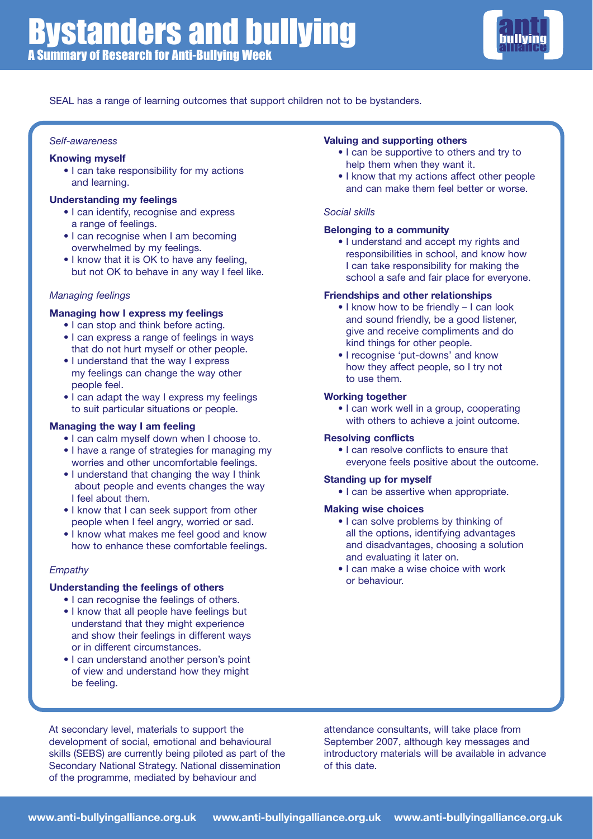

SEAL has a range of learning outcomes that support children not to be bystanders.

#### *Self-awareness*

#### **Knowing myself**

• I can take responsibility for my actions and learning.

#### **Understanding my feelings**

- I can identify, recognise and express a range of feelings.
- I can recognise when I am becoming overwhelmed by my feelings.
- I know that it is OK to have any feeling, but not OK to behave in any way I feel like.

#### *Managing feelings*

#### **Managing how I express my feelings**

- I can stop and think before acting.
- I can express a range of feelings in ways that do not hurt myself or other people.
- I understand that the way I express my feelings can change the way other people feel.
- I can adapt the way I express my feelings to suit particular situations or people.

#### **Managing the way I am feeling**

- I can calm myself down when I choose to.
- I have a range of strategies for managing my worries and other uncomfortable feelings.
- I understand that changing the way I think about people and events changes the way I feel about them.
- I know that I can seek support from other people when I feel angry, worried or sad.
- I know what makes me feel good and know how to enhance these comfortable feelings.

#### *Empathy*

#### **Understanding the feelings of others**

- I can recognise the feelings of others.
- I know that all people have feelings but understand that they might experience and show their feelings in different ways or in different circumstances.
- I can understand another person's point of view and understand how they might be feeling.

#### **Valuing and supporting others**

- I can be supportive to others and try to help them when they want it.
- I know that my actions affect other people and can make them feel better or worse.

#### *Social skills*

#### **Belonging to a community**

• I understand and accept my rights and responsibilities in school, and know how I can take responsibility for making the school a safe and fair place for everyone.

#### **Friendships and other relationships**

- I know how to be friendly I can look and sound friendly, be a good listener, give and receive compliments and do kind things for other people.
- I recognise 'put-downs' and know how they affect people, so I try not to use them.

#### **Working together**

• I can work well in a group, cooperating with others to achieve a joint outcome.

#### **Resolving conflicts**

• I can resolve conflicts to ensure that everyone feels positive about the outcome.

#### **Standing up for myself**

• I can be assertive when appropriate.

#### **Making wise choices**

- I can solve problems by thinking of all the options, identifying advantages and disadvantages, choosing a solution and evaluating it later on.
- I can make a wise choice with work or behaviour.

At secondary level, materials to support the development of social, emotional and behavioural skills (SEBS) are currently being piloted as part of the Secondary National Strategy. National dissemination of the programme, mediated by behaviour and

attendance consultants, will take place from September 2007, although key messages and introductory materials will be available in advance of this date.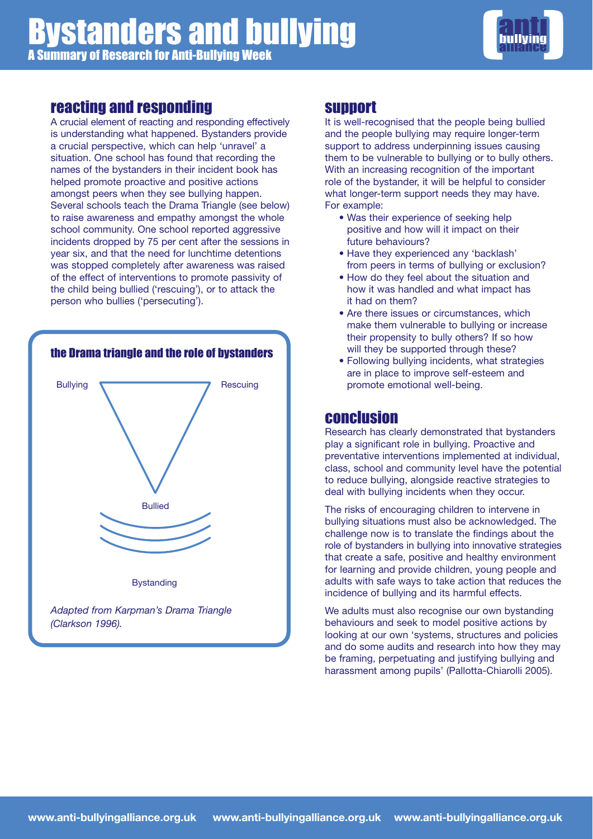

## reacting and responding

A crucial element of reacting and responding effectively is understanding what happened. Bystanders provide a crucial perspective, which can help 'unravel' a situation. One school has found that recording the names of the bystanders in their incident book has helped promote proactive and positive actions amongst peers when they see bullying happen. Several schools teach the Drama Triangle (see below) to raise awareness and empathy amongst the whole school community. One school reported aggressive incidents dropped by 75 per cent after the sessions in year six, and that the need for lunchtime detentions was stopped completely after awareness was raised of the effect of interventions to promote passivity of the child being bullied ('rescuing'), or to attack the person who bullies ('persecuting').



## support

It is well-recognised that the people being bullied and the people bullying may require longer-term support to address underpinning issues causing them to be vulnerable to bullying or to bully others. With an increasing recognition of the important role of the bystander, it will be helpful to consider what longer-term support needs they may have. For example:

- Was their experience of seeking help positive and how will it impact on their future behaviours?
- Have they experienced any 'backlash' from peers in terms of bullying or exclusion?
- How do they feel about the situation and how it was handled and what impact has it had on them?
- Are there issues or circumstances, which make them vulnerable to bullying or increase their propensity to bully others? If so how will they be supported through these?
- Following bullying incidents, what strategies are in place to improve self-esteem and promote emotional well-being.

## conclusion

Research has clearly demonstrated that bystanders play a significant role in bullying. Proactive and preventative interventions implemented at individual, class, school and community level have the potential to reduce bullying, alongside reactive strategies to deal with bullying incidents when they occur.

The risks of encouraging children to intervene in bullying situations must also be acknowledged. The challenge now is to translate the findings about the role of bystanders in bullying into innovative strategies that create a safe, positive and healthy environment for learning and provide children, young people and adults with safe ways to take action that reduces the incidence of bullying and its harmful effects.

We adults must also recognise our own bystanding behaviours and seek to model positive actions by looking at our own 'systems, structures and policies and do some audits and research into how they may be framing, perpetuating and justifying bullying and harassment among pupils' (Pallotta-Chiarolli 2005).